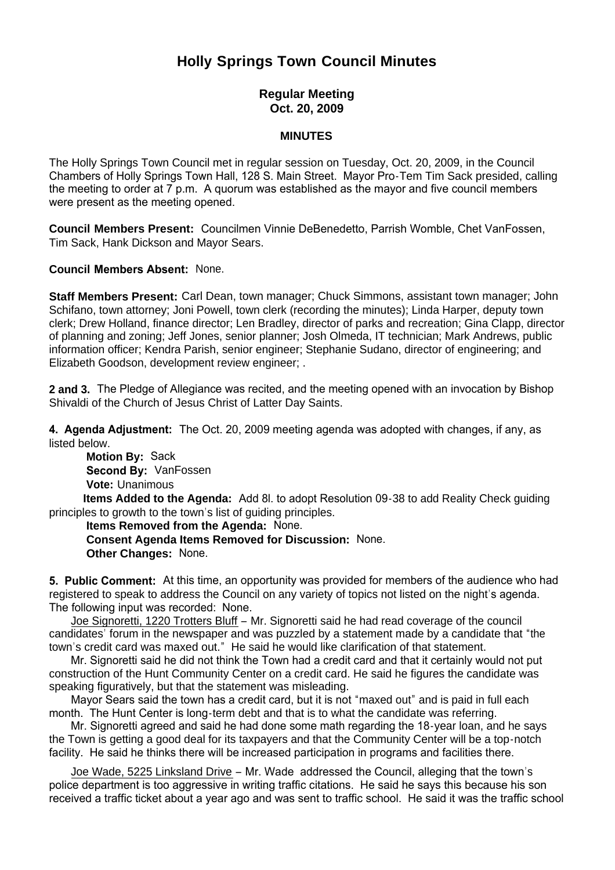## **Holly Springs Town Council Minutes**

## **Regular Meeting Oct. 20, 2009**

## **MINUTES**

The Holly Springs Town Council met in regular session on Tuesday, Oct. 20, 2009, in the Council Chambers of Holly Springs Town Hall, 128 S. Main Street. Mayor Pro-Tem Tim Sack presided, calling the meeting to order at 7 p.m. A quorum was established as the mayor and five council members were present as the meeting opened.

**Council Members Present:** Councilmen Vinnie DeBenedetto, Parrish Womble, Chet VanFossen, Tim Sack, Hank Dickson and Mayor Sears.

**Council Members Absent:** None.

**Staff Members Present:** Carl Dean, town manager; Chuck Simmons, assistant town manager; John Schifano, town attorney; Joni Powell, town clerk (recording the minutes); Linda Harper, deputy town clerk; Drew Holland, finance director; Len Bradley, director of parks and recreation; Gina Clapp, director of planning and zoning; Jeff Jones, senior planner; Josh Olmeda, IT technician; Mark Andrews, public information officer; Kendra Parish, senior engineer; Stephanie Sudano, director of engineering; and Elizabeth Goodson, development review engineer; .

**2 and 3.** The Pledge of Allegiance was recited, and the meeting opened with an invocation by Bishop Shivaldi of the Church of Jesus Christ of Latter Day Saints.

**4. Agenda Adjustment:** The Oct. 20, 2009 meeting agenda was adopted with changes, if any, as listed below.

**Motion By: Sack Second By:** VanFossen **Vote:** Unanimous

 **Items Added to the Agenda:** Add 8l. to adopt Resolution 09-38 to add Reality Check guiding principles to growth to the town's list of guiding principles.

 **Items Removed from the Agenda:** None. **Consent Agenda Items Removed for Discussion:** None. **Other Changes:** None.

**5. Public Comment:** At this time, an opportunity was provided for members of the audience who had registered to speak to address the Council on any variety of topics not listed on the night's agenda. The following input was recorded: None.

 Joe Signoretti, 1220 Trotters Bluff – Mr. Signoretti said he had read coverage of the council candidates' forum in the newspaper and was puzzled by a statement made by a candidate that "the town's credit card was maxed out." He said he would like clarification of that statement.

 Mr. Signoretti said he did not think the Town had a credit card and that it certainly would not put construction of the Hunt Community Center on a credit card. He said he figures the candidate was speaking figuratively, but that the statement was misleading.

 Mayor Sears said the town has a credit card, but it is not "maxed out" and is paid in full each month. The Hunt Center is long-term debt and that is to what the candidate was referring.

 Mr. Signoretti agreed and said he had done some math regarding the 18-year loan, and he says the Town is getting a good deal for its taxpayers and that the Community Center will be a top-notch facility. He said he thinks there will be increased participation in programs and facilities there.

 Joe Wade, 5225 Linksland Drive – Mr. Wade addressed the Council, alleging that the town's police department is too aggressive in writing traffic citations. He said he says this because his son received a traffic ticket about a year ago and was sent to traffic school. He said it was the traffic school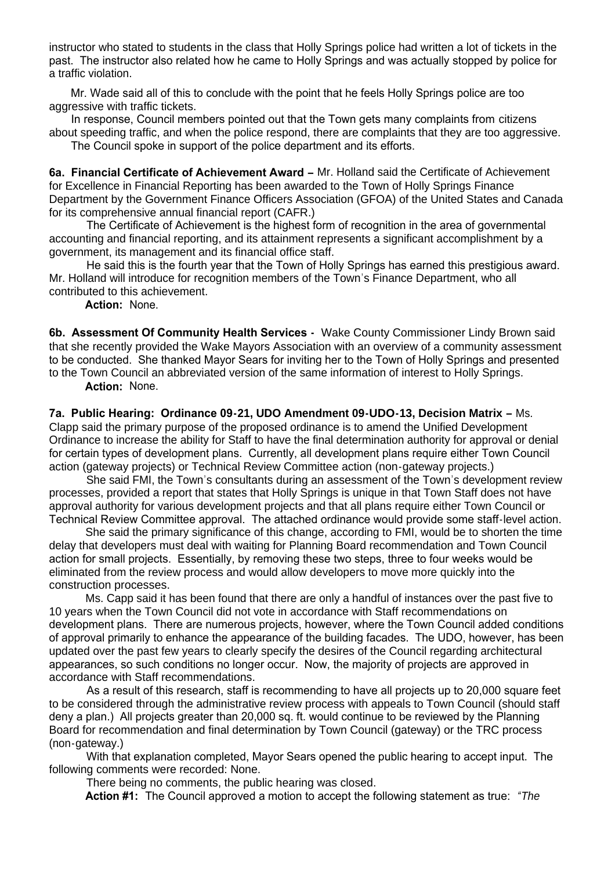instructor who stated to students in the class that Holly Springs police had written a lot of tickets in the past. The instructor also related how he came to Holly Springs and was actually stopped by police for a traffic violation.

 Mr. Wade said all of this to conclude with the point that he feels Holly Springs police are too aggressive with traffic tickets.

 In response, Council members pointed out that the Town gets many complaints from citizens about speeding traffic, and when the police respond, there are complaints that they are too aggressive. The Council spoke in support of the police department and its efforts.

**6a. Financial Certificate of Achievement Award –** Mr. Holland said the Certificate of Achievement for Excellence in Financial Reporting has been awarded to the Town of Holly Springs Finance Department by the Government Finance Officers Association (GFOA) of the United States and Canada for its comprehensive annual financial report (CAFR.)

 The Certificate of Achievement is the highest form of recognition in the area of governmental accounting and financial reporting, and its attainment represents a significant accomplishment by a government, its management and its financial office staff.

 He said this is the fourth year that the Town of Holly Springs has earned this prestigious award. Mr. Holland will introduce for recognition members of the Town's Finance Department, who all contributed to this achievement.

 **Action:** None.

**6b. Assessment Of Community Health Services -** Wake County Commissioner Lindy Brown said that she recently provided the Wake Mayors Association with an overview of a community assessment to be conducted. She thanked Mayor Sears for inviting her to the Town of Holly Springs and presented to the Town Council an abbreviated version of the same information of interest to Holly Springs.

 **Action:** None.

**7a. Public Hearing: Ordinance 09-21, UDO Amendment 09-UDO-13, Decision Matrix –** Ms. Clapp said the primary purpose of the proposed ordinance is to amend the Unified Development Ordinance to increase the ability for Staff to have the final determination authority for approval or denial for certain types of development plans. Currently, all development plans require either Town Council action (gateway projects) or Technical Review Committee action (non-gateway projects.)

She said FMI, the Town's consultants during an assessment of the Town's development review processes, provided a report that states that Holly Springs is unique in that Town Staff does not have approval authority for various development projects and that all plans require either Town Council or Technical Review Committee approval. The attached ordinance would provide some staff-level action.

She said the primary significance of this change, according to FMI, would be to shorten the time delay that developers must deal with waiting for Planning Board recommendation and Town Council action for small projects. Essentially, by removing these two steps, three to four weeks would be eliminated from the review process and would allow developers to move more quickly into the construction processes.

Ms. Capp said it has been found that there are only a handful of instances over the past five to 10 years when the Town Council did not vote in accordance with Staff recommendations on development plans. There are numerous projects, however, where the Town Council added conditions of approval primarily to enhance the appearance of the building facades. The UDO, however, has been updated over the past few years to clearly specify the desires of the Council regarding architectural appearances, so such conditions no longer occur. Now, the majority of projects are approved in accordance with Staff recommendations.

 As a result of this research, staff is recommending to have all projects up to 20,000 square feet to be considered through the administrative review process with appeals to Town Council (should staff deny a plan.) All projects greater than 20,000 sq. ft. would continue to be reviewed by the Planning Board for recommendation and final determination by Town Council (gateway) or the TRC process (non-gateway.)

With that explanation completed, Mayor Sears opened the public hearing to accept input. The following comments were recorded: None.

There being no comments, the public hearing was closed.

 **Action #1:** The Council approved a motion to accept the following statement as true: *"The*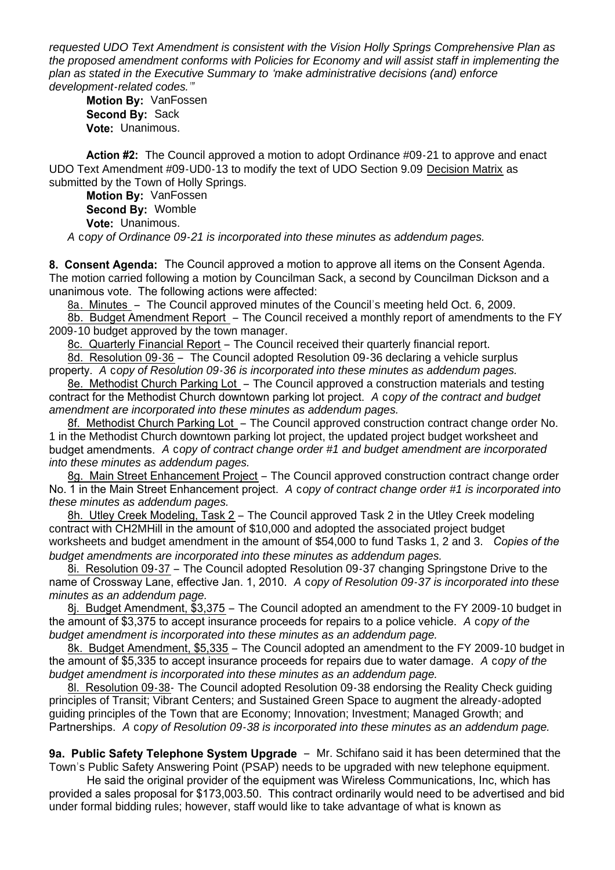*requested UDO Text Amendment is consistent with the Vision Holly Springs Comprehensive Plan as the proposed amendment conforms with Policies for Economy and will assist staff in implementing the plan as stated in the Executive Summary to 'make administrative decisions (and) enforce development-related codes.'"*

**Motion By:** VanFossen **Second By:** Sack **Vote:** Unanimous.

**Action #2:** The Council approved a motion to adopt Ordinance #09-21 to approve and enact UDO Text Amendment #09-UD0-13 to modify the text of UDO Section 9.09 Decision Matrix as submitted by the Town of Holly Springs.

**Motion By:** VanFossen **Second By:** Womble **Vote:** Unanimous. *A* c*opy of Ordinance 09-21 is incorporated into these minutes as addendum pages.*

**8. Consent Agenda:** The Council approved a motion to approve all items on the Consent Agenda. The motion carried following a motion by Councilman Sack, a second by Councilman Dickson and a unanimous vote. The following actions were affected:

8a. Minutes – The Council approved minutes of the Council's meeting held Oct. 6, 2009.

8b. Budget Amendment Report – The Council received a monthly report of amendments to the FY 2009-10 budget approved by the town manager.

8c. Quarterly Financial Report – The Council received their quarterly financial report.

8d. Resolution 09-36 – The Council adopted Resolution 09-36 declaring a vehicle surplus property. *A* c*opy of Resolution 09-36 is incorporated into these minutes as addendum pages.*

8e. Methodist Church Parking Lot – The Council approved a construction materials and testing contract for the Methodist Church downtown parking lot project. *A* c*opy of the contract and budget amendment are incorporated into these minutes as addendum pages.*

8f. Methodist Church Parking Lot - The Council approved construction contract change order No. 1 in the Methodist Church downtown parking lot project, the updated project budget worksheet and budget amendments. *A* c*opy of contract change order #1 and budget amendment are incorporated into these minutes as addendum pages.*

8g. Main Street Enhancement Project - The Council approved construction contract change order No. 1 in the Main Street Enhancement project. *A* c*opy of contract change order #1 is incorporated into these minutes as addendum pages.*

8h. Utley Creek Modeling, Task 2 – The Council approved Task 2 in the Utley Creek modeling contract with CH2MHill in the amount of \$10,000 and adopted the associated project budget worksheets and budget amendment in the amount of \$54,000 to fund Tasks 1, 2 and 3.*Copies of the budget amendments are incorporated into these minutes as addendum pages.*

8i. Resolution 09-37 – The Council adopted Resolution 09-37 changing Springstone Drive to the name of Crossway Lane, effective Jan. 1, 2010. *A* c*opy of Resolution 09-37 is incorporated into these minutes as an addendum page.*

8j. Budget Amendment, \$3,375 – The Council adopted an amendment to the FY 2009-10 budget in the amount of \$3,375 to accept insurance proceeds for repairs to a police vehicle. *A* c*opy of the budget amendment is incorporated into these minutes as an addendum page.*

8k. Budget Amendment, \$5,335 – The Council adopted an amendment to the FY 2009-10 budget in the amount of \$5,335 to accept insurance proceeds for repairs due to water damage. *A* c*opy of the budget amendment is incorporated into these minutes as an addendum page.*

8l. Resolution 09-38- The Council adopted Resolution 09-38 endorsing the Reality Check guiding principles of Transit; Vibrant Centers; and Sustained Green Space to augment the already-adopted guiding principles of the Town that are Economy; Innovation; Investment; Managed Growth; and Partnerships. *A* c*opy of Resolution 09-38 is incorporated into these minutes as an addendum page.*

**9a. Public Safety Telephone System Upgrade** – Mr. Schifano said it has been determined that the Town's Public Safety Answering Point (PSAP) needs to be upgraded with new telephone equipment.

 He said the original provider of the equipment was Wireless Communications, Inc, which has provided a sales proposal for \$173,003.50. This contract ordinarily would need to be advertised and bid under formal bidding rules; however, staff would like to take advantage of what is known as